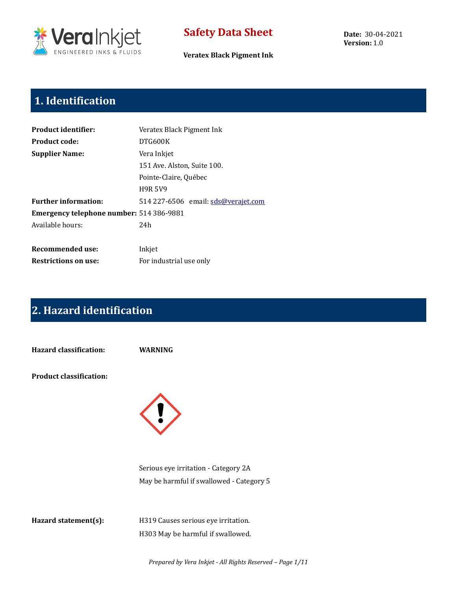

**Veratex Black Pigment Ink**

**Date:** 30-04-2021 **Version:** 1.0

## **1. Identification**

| <b>Product identifier:</b>               | Veratex Black Pigment Ink           |
|------------------------------------------|-------------------------------------|
| <b>Product code:</b>                     | DTG600K                             |
| <b>Supplier Name:</b>                    | Vera Inkjet                         |
|                                          | 151 Ave. Alston, Suite 100.         |
|                                          | Pointe-Claire, Québec               |
|                                          | <b>H9R 5V9</b>                      |
| <b>Further information:</b>              | 514 227-6506 email: sds@verajet.com |
| Emergency telephone number: 514 386-9881 |                                     |
| Available hours:                         | 24h                                 |
|                                          |                                     |
| Recommended use:                         | Inkjet                              |
| <b>Restrictions on use:</b>              | For industrial use only             |

# **2. Hazard identification**

**Hazard classification: WARNING**

**Product classification:**



Serious eye irritation - Category 2A May be harmful if swallowed - Category 5

**Hazard statement(s):** H319 Causes serious eye irritation. H303 May be harmful if swallowed.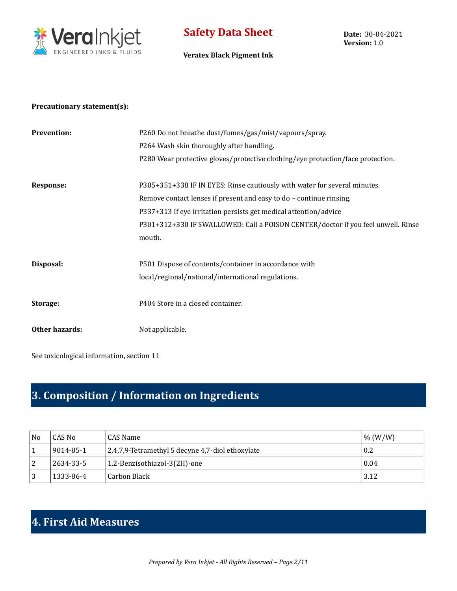

**Veratex Black Pigment Ink**

**Date:** 30-04-2021 **Version:** 1.0

#### **Precautionary statement(s):**

| <b>Prevention:</b> | P260 Do not breathe dust/fumes/gas/mist/vapours/spray.                           |
|--------------------|----------------------------------------------------------------------------------|
|                    | P264 Wash skin thoroughly after handling.                                        |
|                    | P280 Wear protective gloves/protective clothing/eye protection/face protection.  |
| Response:          | P305+351+338 IF IN EYES: Rinse cautiously with water for several minutes.        |
|                    | Remove contact lenses if present and easy to do - continue rinsing.              |
|                    | P337+313 If eye irritation persists get medical attention/advice                 |
|                    | P301+312+330 IF SWALLOWED: Call a POISON CENTER/doctor if you feel unwell. Rinse |
|                    | mouth.                                                                           |
| Disposal:          | P501 Dispose of contents/container in accordance with                            |
|                    | local/regional/national/international regulations.                               |
| Storage:           | P404 Store in a closed container.                                                |
| Other hazards:     | Not applicable.                                                                  |
|                    |                                                                                  |

See toxicological information, section 11

## **3. Composition / Information on Ingredients**

| No             | CAS No    | CAS Name                                         | $\%$ (W/W) |
|----------------|-----------|--------------------------------------------------|------------|
|                | 9014-85-1 | 2,4,7,9-Tetramethyl 5 decyne 4,7-diol ethoxylate | 0.2        |
| $\overline{2}$ | 2634-33-5 | 1,2-Benzisothiazol-3(2H)-one                     | 0.04       |
| 3              | 1333-86-4 | ' Carbon Black                                   | 3.12       |

# **4. First Aid Measures**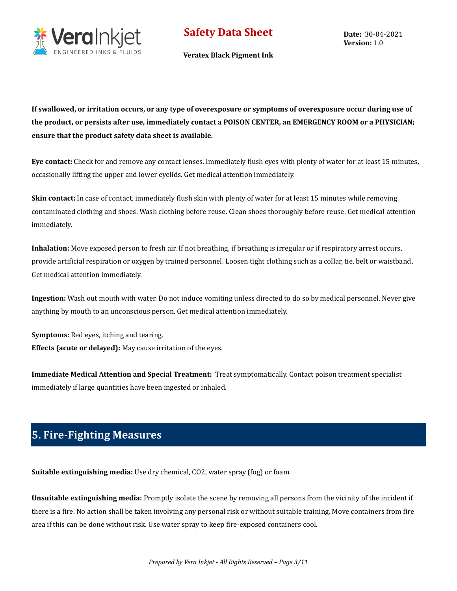

**Date:** 30-04-2021 **Version:** 1.0

**Veratex Black Pigment Ink**

**If swallowed, or irritation occurs, or any type of overexposure or symptoms of overexposure occur during use of the product, or persists after use, immediately contact a POISON CENTER, an EMERGENCY ROOM or a PHYSICIAN; ensure that the product safety data sheet is available.**

**Eye contact:** Check for and remove any contact lenses. Immediately flush eyes with plenty of water for at least 15 minutes, occasionally lifting the upper and lower eyelids. Get medical attention immediately.

**Skin contact:** In case of contact, immediately flush skin with plenty of water for at least 15 minutes while removing contaminated clothing and shoes. Wash clothing before reuse. Clean shoes thoroughly before reuse. Get medical attention immediately.

**Inhalation:** Move exposed person to fresh air. If not breathing, if breathing is irregular or if respiratory arrest occurs, provide artificial respiration or oxygen by trained personnel. Loosen tight clothing such as a collar, tie, belt or waistband. Get medical attention immediately.

**Ingestion:** Wash out mouth with water. Do not induce vomiting unless directed to do so by medical personnel. Never give anything by mouth to an unconscious person. Get medical attention immediately.

**Symptoms:** Red eyes, itching and tearing. **Effects (acute or delayed):** May cause irritation of the eyes.

**Immediate Medical Attention and Special Treatment:** Treat symptomatically. Contact poison treatment specialist immediately if large quantities have been ingested or inhaled.

### **5. Fire-Fighting Measures**

**Suitable extinguishing media:** Use dry chemical, CO2, water spray (fog) or foam.

**Unsuitable extinguishing media:** Promptly isolate the scene by removing all persons from the vicinity of the incident if there is a fire. No action shall be taken involving any personal risk or without suitable training. Move containers from fire area if this can be done without risk. Use water spray to keep fire-exposed containers cool.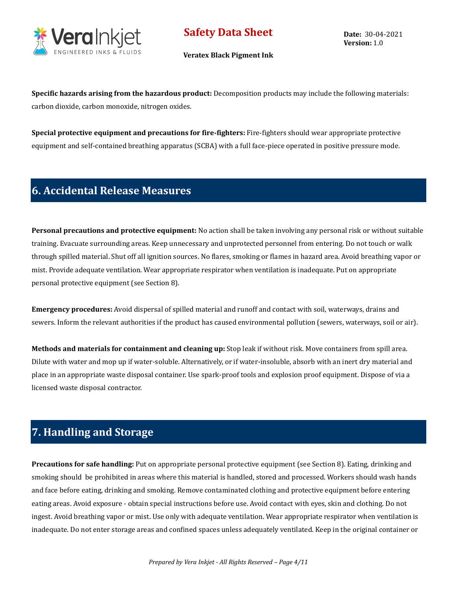

**Date:** 30-04-2021 **Version:** 1.0

**Veratex Black Pigment Ink**

**Specific hazards arising from the hazardous product:** Decomposition products may include the following materials: carbon dioxide, carbon monoxide, nitrogen oxides.

**Special protective equipment and precautions for fire-fighters:** Fire-fighters should wear appropriate protective equipment and self-contained breathing apparatus (SCBA) with a full face-piece operated in positive pressure mode.

### **6. Accidental Release Measures**

**Personal precautions and protective equipment:** No action shall be taken involving any personal risk or without suitable training. Evacuate surrounding areas. Keep unnecessary and unprotected personnel from entering. Do not touch or walk through spilled material. Shut off all ignition sources. No flares, smoking or flames in hazard area. Avoid breathing vapor or mist. Provide adequate ventilation. Wear appropriate respirator when ventilation is inadequate. Put on appropriate personal protective equipment (see Section 8).

**Emergency procedures:** Avoid dispersal of spilled material and runoff and contact with soil, waterways, drains and sewers. Inform the relevant authorities if the product has caused environmental pollution (sewers, waterways, soil or air).

**Methods and materials for containment and cleaning up:** Stop leak if without risk. Move containers from spill area. Dilute with water and mop up if water-soluble. Alternatively, or if water-insoluble, absorb with an inert dry material and place in an appropriate waste disposal container. Use spark-proof tools and explosion proof equipment. Dispose of via a licensed waste disposal contractor.

## **7. Handling and Storage**

**Precautions for safe handling:** Put on appropriate personal protective equipment (see Section 8). Eating, drinking and smoking should be prohibited in areas where this material is handled, stored and processed. Workers should wash hands and face before eating, drinking and smoking. Remove contaminated clothing and protective equipment before entering eating areas. Avoid exposure - obtain special instructions before use. Avoid contact with eyes, skin and clothing. Do not ingest. Avoid breathing vapor or mist. Use only with adequate ventilation. Wear appropriate respirator when ventilation is inadequate. Do not enter storage areas and confined spaces unless adequately ventilated. Keep in the original container or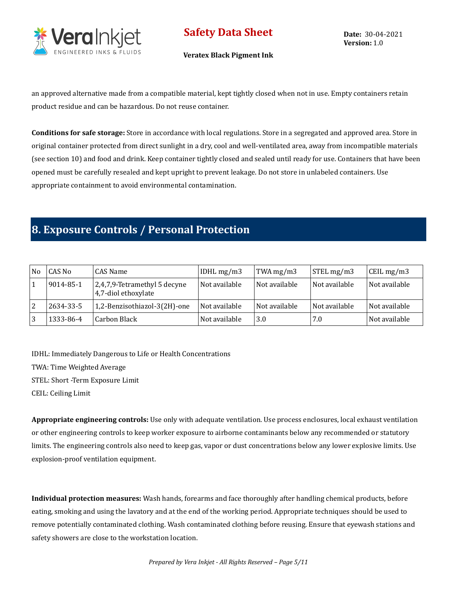

**Veratex Black Pigment Ink**

**Date:** 30-04-2021 **Version:** 1.0

an approved alternative made from a compatible material, kept tightly closed when not in use. Empty containers retain product residue and can be hazardous. Do not reuse container.

**Conditions for safe storage:** Store in accordance with local regulations. Store in a segregated and approved area. Store in original container protected from direct sunlight in a dry, cool and well-ventilated area, away from incompatible materials (see section 10) and food and drink. Keep container tightly closed and sealed until ready for use. Containers that have been opened must be carefully resealed and kept upright to prevent leakage. Do not store in unlabeled containers. Use appropriate containment to avoid environmental contamination.

### **8. Exposure Controls / Personal Protection**

| No | CAS No    | CAS Name                                            | IDHL $mg/m3$  | TWA $mg/m3$   | STEL mg/m3    | CEIL mg/m3    |
|----|-----------|-----------------------------------------------------|---------------|---------------|---------------|---------------|
|    | 9014-85-1 | 2,4,7,9-Tetramethyl 5 decyne<br>4,7-diol ethoxylate | Not available | Not available | Not available | Not available |
| 2  | 2634-33-5 | 1,2-Benzisothiazol-3(2H)-one                        | Not available | Not available | Not available | Not available |
| 3  | 1333-86-4 | Carbon Black                                        | Not available | 3.0           | 7.0           | Not available |

IDHL: Immediately Dangerous to Life or Health Concentrations

TWA: Time Weighted Average

STEL: Short -Term Exposure Limit

CEIL: Ceiling Limit

**Appropriate engineering controls:** Use only with adequate ventilation. Use process enclosures, local exhaust ventilation or other engineering controls to keep worker exposure to airborne contaminants below any recommended or statutory limits. The engineering controls also need to keep gas, vapor or dust concentrations below any lower explosive limits. Use explosion-proof ventilation equipment.

**Individual protection measures:** Wash hands, forearms and face thoroughly after handling chemical products, before eating, smoking and using the lavatory and at the end of the working period. Appropriate techniques should be used to remove potentially contaminated clothing. Wash contaminated clothing before reusing. Ensure that eyewash stations and safety showers are close to the workstation location.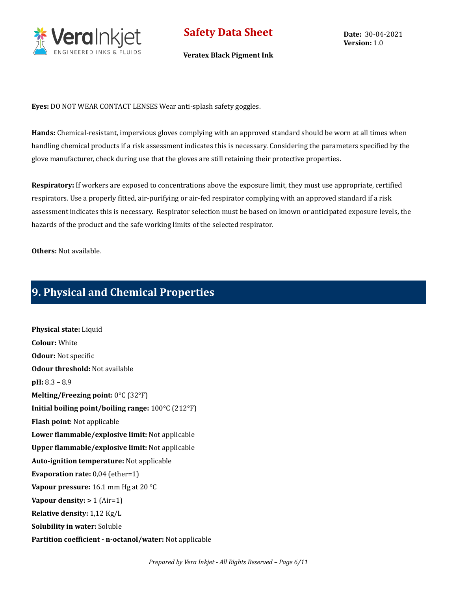

**Veratex Black Pigment Ink**

**Date:** 30-04-2021 **Version:** 1.0

**Eyes:** DO NOT WEAR CONTACT LENSES Wear anti-splash safety goggles.

**Hands:** Chemical-resistant, impervious gloves complying with an approved standard should be worn at all times when handling chemical products if a risk assessment indicates this is necessary. Considering the parameters specified by the glove manufacturer, check during use that the gloves are still retaining their protective properties.

**Respiratory:** If workers are exposed to concentrations above the exposure limit, they must use appropriate, certified respirators. Use a properly fitted, air-purifying or air-fed respirator complying with an approved standard if a risk assessment indicates this is necessary. Respirator selection must be based on known or anticipated exposure levels, the hazards of the product and the safe working limits of the selected respirator.

**Others:** Not available.

### **9. Physical and Chemical Properties**

**Physical state:** Liquid **Colour:** White **Odour:** Not specific **Odour threshold:** Not available **pH:** 8.3 **–** 8.9 **Melting/Freezing point:** 0°C (32°F) **Initial boiling point/boiling range:** 100°C (212°F) **Flash point:** Not applicable **Lower flammable/explosive limit:** Not applicable **Upper flammable/explosive limit:** Not applicable **Auto-ignition temperature:** Not applicable **Evaporation rate:** 0,04 (ether=1) **Vapour pressure:** 16.1 mm Hg at 20 °C **Vapour density: >** 1 (Air=1) **Relative density:** 1,12 Kg/L **Solubility in water:** Soluble **Partition coefficient - n-octanol/water:** Not applicable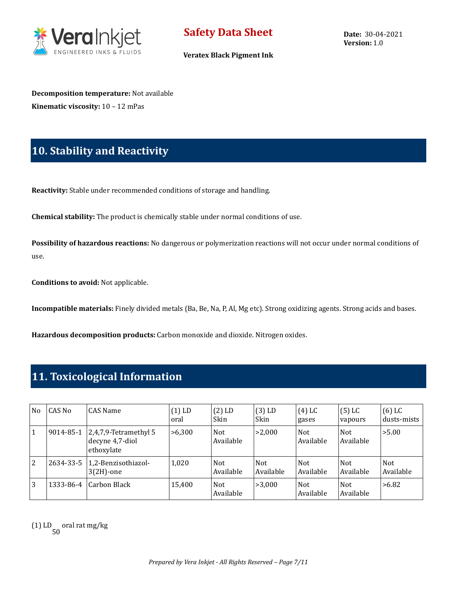

**Veratex Black Pigment Ink**

**Decomposition temperature:** Not available **Kinematic viscosity:** 10 – 12 mPas

## **10. Stability and Reactivity**

**Reactivity:** Stable under recommended conditions of storage and handling.

**Chemical stability:** The product is chemically stable under normal conditions of use.

**Possibility of hazardous reactions:** No dangerous or polymerization reactions will not occur under normal conditions of use.

**Conditions to avoid:** Not applicable.

**Incompatible materials:** Finely divided metals (Ba, Be, Na, P, Al, Mg etc). Strong oxidizing agents. Strong acids and bases.

**Hazardous decomposition products:** Carbon monoxide and dioxide. Nitrogen oxides.

### **11. Toxicological Information**

| No | CAS No    | CAS Name                                               | $(1)$ LD<br>oral | $(2)$ LD<br>Skin        | $(3)$ LD<br>Skin        | $(4)$ LC<br>gases       | $(5)$ LC<br>vapours     | $(6)$ LC<br>dusts-mists |
|----|-----------|--------------------------------------------------------|------------------|-------------------------|-------------------------|-------------------------|-------------------------|-------------------------|
| 1  | 9014-85-1 | 2,4,7,9-Tetramethyl 5<br>decyne 4,7-diol<br>ethoxylate | >6.300           | <b>Not</b><br>Available | >2.000                  | Not<br>Available        | Not<br>Available        | > 5.00                  |
| 2  | 2634-33-5 | 1,2-Benzisothiazol-<br>$3(2H)$ -one                    | 1,020            | <b>Not</b><br>Available | <b>Not</b><br>Available | <b>Not</b><br>Available | <b>Not</b><br>Available | <b>Not</b><br>Available |
| 3  | 1333-86-4 | Carbon Black                                           | 15,400           | Not<br>Available        | >3.000                  | <b>Not</b><br>Available | <b>Not</b><br>Available | >6.82                   |

(1) LD 50 oral rat mg/kg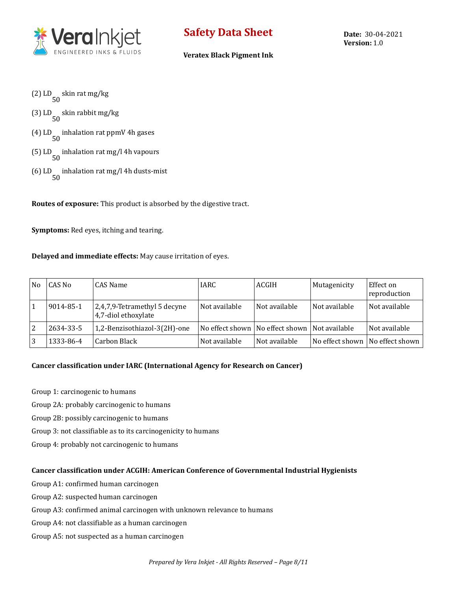

#### **Veratex Black Pigment Ink**

- (2) LD 50 skin rat mg/kg
- (3) LD 50 skin rabbit mg/kg
- (4) LD 50 inhalation rat ppmV 4h gases
- (5) LD 50 inhalation rat mg/l 4h vapours
- (6) LD 50 inhalation rat mg/l 4h dusts-mist

**Routes of exposure:** This product is absorbed by the digestive tract.

**Symptoms:** Red eyes, itching and tearing.

#### **Delayed and immediate effects:** May cause irritation of eyes.

| No | CAS No    | CAS Name                                            | <b>IARC</b>   | ACGIH                                             | Mutagenicity                      | Effect on<br>reproduction |
|----|-----------|-----------------------------------------------------|---------------|---------------------------------------------------|-----------------------------------|---------------------------|
| 1  | 9014-85-1 | 2,4,7,9-Tetramethyl 5 decyne<br>4,7-diol ethoxylate | Not available | Not available                                     | Not available                     | Not available             |
| 2  | 2634-33-5 | 1,2-Benzisothiazol-3(2H)-one                        |               | No effect shown   No effect shown   Not available |                                   | Not available             |
| 3  | 1333-86-4 | Carbon Black                                        | Not available | Not available                                     | No effect shown   No effect shown |                           |

#### **Cancer classification under IARC (International Agency for Research on Cancer)**

Group 1: carcinogenic to humans Group 2A: probably carcinogenic to humans Group 2B: possibly carcinogenic to humans Group 3: not classifiable as to its carcinogenicity to humans Group 4: probably not carcinogenic to humans

#### **Cancer classification under ACGIH: American Conference of Governmental Industrial Hygienists**

- Group A1: confirmed human carcinogen
- Group A2: suspected human carcinogen
- Group A3: confirmed animal carcinogen with unknown relevance to humans
- Group A4: not classifiable as a human carcinogen
- Group A5: not suspected as a human carcinogen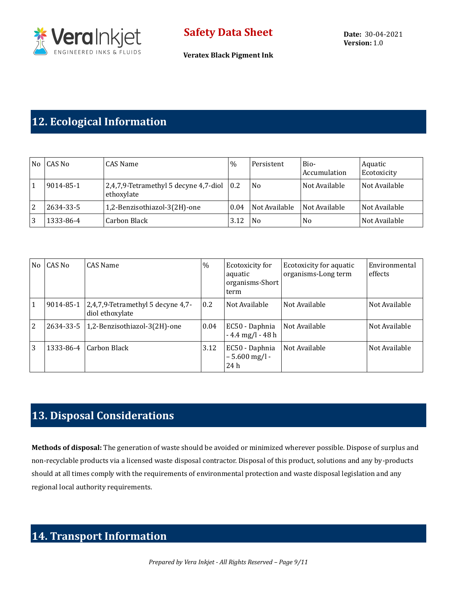

# **12. Ecological Information**

| No           | CAS No    | CAS Name                                                        | $\%$ | Persistent     | Bio-<br>Accumulation | Aquatic<br>Ecotoxicity |
|--------------|-----------|-----------------------------------------------------------------|------|----------------|----------------------|------------------------|
| $\mathbf{1}$ | 9014-85-1 | 2,4,7,9-Tetramethyl 5 decyne 4,7-diol $\vert$ 0.2<br>ethoxylate |      | N <sub>0</sub> | Not Available        | Not Available          |
| <sup>2</sup> | 2634-33-5 | 1,2-Benzisothiazol-3(2H)-one                                    | 0.04 | Not Available  | Not Available        | Not Available          |
| 3            | 1333-86-4 | Carbon Black                                                    | 3.12 | N <sub>0</sub> | N <sub>0</sub>       | Not Available          |

| No | CAS No    | CAS Name                                                | $\%$ | Ecotoxicity for<br>aquatic<br>organisms-Short<br>term | Ecotoxicity for aquatic<br>organisms-Long term | Environmental<br>effects |
|----|-----------|---------------------------------------------------------|------|-------------------------------------------------------|------------------------------------------------|--------------------------|
| 1  | 9014-85-1 | $2,4,7,9$ -Tetramethyl 5 decyne 4,7-<br>diol ethoxylate | 0.2  | Not Available                                         | Not Available                                  | Not Available            |
| 2  | 2634-33-5 | 1,2-Benzisothiazol-3(2H)-one                            | 0.04 | EC50 - Daphnia<br>$-4.4$ mg/l $-48$ h                 | Not Available                                  | Not Available            |
| 3  | 1333-86-4 | Carbon Black                                            | 3.12 | EC50 - Daphnia<br>$-5.600$ mg/l -<br>24h              | Not Available                                  | Not Available            |

# **13. Disposal Considerations**

**Methods of disposal:** The generation of waste should be avoided or minimized wherever possible. Dispose of surplus and non-recyclable products via a licensed waste disposal contractor. Disposal of this product, solutions and any by-products should at all times comply with the requirements of environmental protection and waste disposal legislation and any regional local authority requirements.

## **14. Transport Information**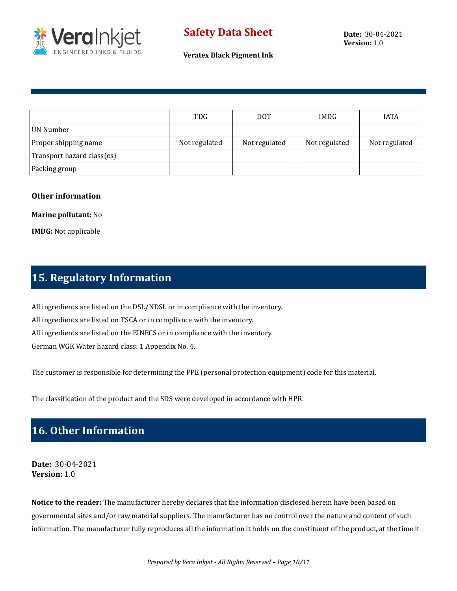

**Veratex Black Pigment Ink**

|                            | <b>TDG</b>    | <b>DOT</b>    | <b>IMDG</b>   | <b>IATA</b>   |
|----------------------------|---------------|---------------|---------------|---------------|
| UN Number                  |               |               |               |               |
| Proper shipping name       | Not regulated | Not regulated | Not regulated | Not regulated |
| Transport hazard class(es) |               |               |               |               |
| Packing group              |               |               |               |               |

#### **Other information**

**Marine pollutant:** No

**IMDG:** Not applicable

# **15. Regulatory Information**

All ingredients are listed on the DSL/NDSL or in compliance with the inventory. All ingredients are listed on TSCA or in compliance with the inventory. All ingredients are listed on the EINECS or in compliance with the inventory. German WGK Water hazard class: 1 Appendix No. 4.

The customer is responsible for determining the PPE (personal protection equipment) code for this material.

The classification of the product and the SDS were developed in accordance with HPR.

## **16. Other Information**

**Date:** 30-04-2021 **Version:** 1.0

**Notice to the reader:** The manufacturer hereby declares that the information disclosed herein have been based on governmental sites and/or raw material suppliers. The manufacturer has no control over the nature and content of such information. The manufacturer fully reproduces all the information it holds on the constituent of the product, at the time it